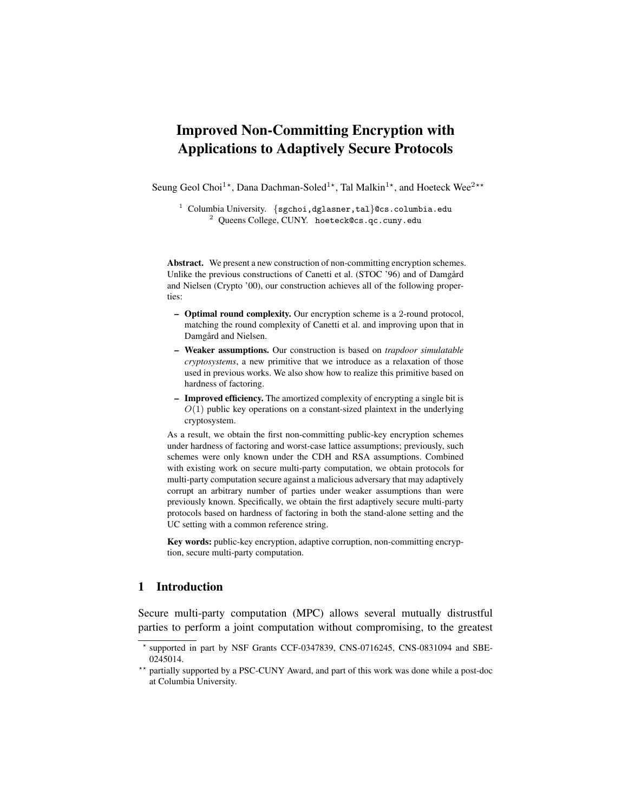# Improved Non-Committing Encryption with Applications to Adaptively Secure Protocols

Seung Geol Choi<sup>1\*</sup>, Dana Dachman-Soled<sup>1\*</sup>, Tal Malkin<sup>1\*</sup>, and Hoeteck Wee<sup>2\*\*</sup>

<sup>1</sup> Columbia University. {sgchoi,dglasner,tal}@cs.columbia.edu <sup>2</sup> Queens College, CUNY. hoeteck@cs.qc.cuny.edu

Abstract. We present a new construction of non-committing encryption schemes. Unlike the previous constructions of Canetti et al. (STOC '96) and of Damgård and Nielsen (Crypto '00), our construction achieves all of the following properties:

- Optimal round complexity. Our encryption scheme is a 2-round protocol, matching the round complexity of Canetti et al. and improving upon that in Damgård and Nielsen.
- Weaker assumptions. Our construction is based on *trapdoor simulatable cryptosystems*, a new primitive that we introduce as a relaxation of those used in previous works. We also show how to realize this primitive based on hardness of factoring.
- Improved efficiency. The amortized complexity of encrypting a single bit is  $O(1)$  public key operations on a constant-sized plaintext in the underlying cryptosystem.

As a result, we obtain the first non-committing public-key encryption schemes under hardness of factoring and worst-case lattice assumptions; previously, such schemes were only known under the CDH and RSA assumptions. Combined with existing work on secure multi-party computation, we obtain protocols for multi-party computation secure against a malicious adversary that may adaptively corrupt an arbitrary number of parties under weaker assumptions than were previously known. Specifically, we obtain the first adaptively secure multi-party protocols based on hardness of factoring in both the stand-alone setting and the UC setting with a common reference string.

Key words: public-key encryption, adaptive corruption, non-committing encryption, secure multi-party computation.

# 1 Introduction

Secure multi-party computation (MPC) allows several mutually distrustful parties to perform a joint computation without compromising, to the greatest

<sup>?</sup> supported in part by NSF Grants CCF-0347839, CNS-0716245, CNS-0831094 and SBE-0245014.

<sup>\*\*</sup> partially supported by a PSC-CUNY Award, and part of this work was done while a post-doc at Columbia University.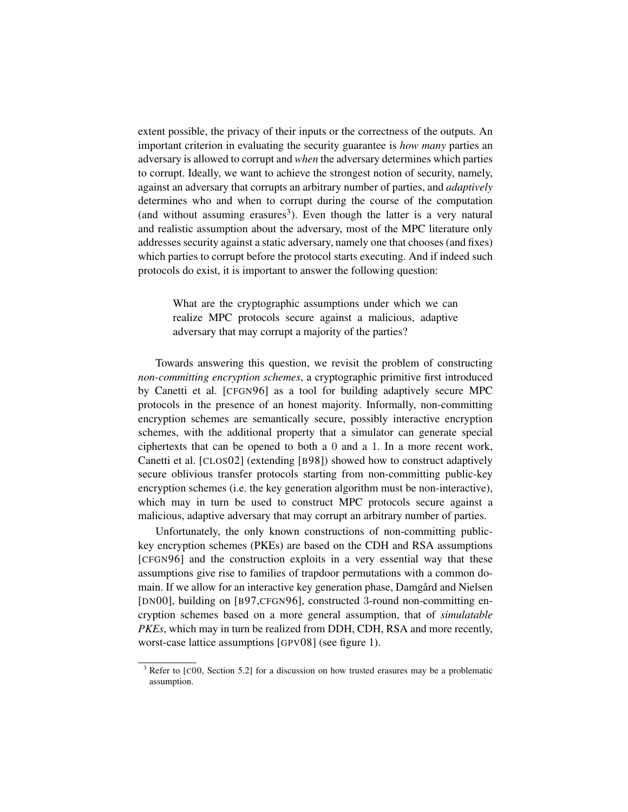extent possible, the privacy of their inputs or the correctness of the outputs. An important criterion in evaluating the security guarantee is *how many* parties an adversary is allowed to corrupt and *when* the adversary determines which parties to corrupt. Ideally, we want to achieve the strongest notion of security, namely, against an adversary that corrupts an arbitrary number of parties, and *adaptively* determines who and when to corrupt during the course of the computation (and without assuming erasures<sup>3</sup>). Even though the latter is a very natural and realistic assumption about the adversary, most of the MPC literature only addresses security against a static adversary, namely one that chooses (and fixes) which parties to corrupt before the protocol starts executing. And if indeed such protocols do exist, it is important to answer the following question:

What are the cryptographic assumptions under which we can realize MPC protocols secure against a malicious, adaptive adversary that may corrupt a majority of the parties?

Towards answering this question, we revisit the problem of constructing *non-committing encryption schemes*, a cryptographic primitive first introduced by Canetti et al. [CFGN96] as a tool for building adaptively secure MPC protocols in the presence of an honest majority. Informally, non-committing encryption schemes are semantically secure, possibly interactive encryption schemes, with the additional property that a simulator can generate special ciphertexts that can be opened to both a 0 and a 1. In a more recent work, Canetti et al. [CLOS02] (extending [B98]) showed how to construct adaptively secure oblivious transfer protocols starting from non-committing public-key encryption schemes (i.e. the key generation algorithm must be non-interactive), which may in turn be used to construct MPC protocols secure against a malicious, adaptive adversary that may corrupt an arbitrary number of parties.

Unfortunately, the only known constructions of non-committing publickey encryption schemes (PKEs) are based on the CDH and RSA assumptions [CFGN96] and the construction exploits in a very essential way that these assumptions give rise to families of trapdoor permutations with a common domain. If we allow for an interactive key generation phase, Damgård and Nielsen [DN00], building on [B97,CFGN96], constructed 3-round non-committing encryption schemes based on a more general assumption, that of *simulatable PKEs*, which may in turn be realized from DDH, CDH, RSA and more recently, worst-case lattice assumptions [GPV08] (see figure 1).

<sup>&</sup>lt;sup>3</sup> Refer to [C00, Section 5.2] for a discussion on how trusted erasures may be a problematic assumption.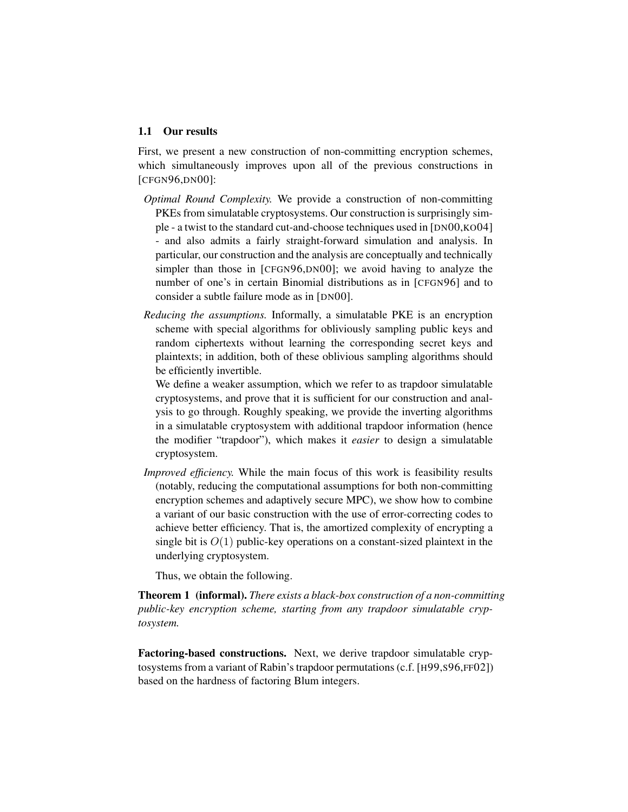#### 1.1 Our results

First, we present a new construction of non-committing encryption schemes, which simultaneously improves upon all of the previous constructions in [CFGN96,DN00]:

- *Optimal Round Complexity.* We provide a construction of non-committing PKEs from simulatable cryptosystems. Our construction is surprisingly simple - a twist to the standard cut-and-choose techniques used in [DN00,KO04] - and also admits a fairly straight-forward simulation and analysis. In particular, our construction and the analysis are conceptually and technically simpler than those in [CFGN96,DN00]; we avoid having to analyze the number of one's in certain Binomial distributions as in [CFGN96] and to consider a subtle failure mode as in [DN00].
- *Reducing the assumptions.* Informally, a simulatable PKE is an encryption scheme with special algorithms for obliviously sampling public keys and random ciphertexts without learning the corresponding secret keys and plaintexts; in addition, both of these oblivious sampling algorithms should be efficiently invertible.

We define a weaker assumption, which we refer to as trapdoor simulatable cryptosystems, and prove that it is sufficient for our construction and analysis to go through. Roughly speaking, we provide the inverting algorithms in a simulatable cryptosystem with additional trapdoor information (hence the modifier "trapdoor"), which makes it *easier* to design a simulatable cryptosystem.

*Improved efficiency.* While the main focus of this work is feasibility results (notably, reducing the computational assumptions for both non-committing encryption schemes and adaptively secure MPC), we show how to combine a variant of our basic construction with the use of error-correcting codes to achieve better efficiency. That is, the amortized complexity of encrypting a single bit is  $O(1)$  public-key operations on a constant-sized plaintext in the underlying cryptosystem.

Thus, we obtain the following.

Theorem 1 (informal). *There exists a black-box construction of a non-committing public-key encryption scheme, starting from any trapdoor simulatable cryptosystem.*

Factoring-based constructions. Next, we derive trapdoor simulatable cryptosystems from a variant of Rabin's trapdoor permutations (c.f. [H99,S96,FF02]) based on the hardness of factoring Blum integers.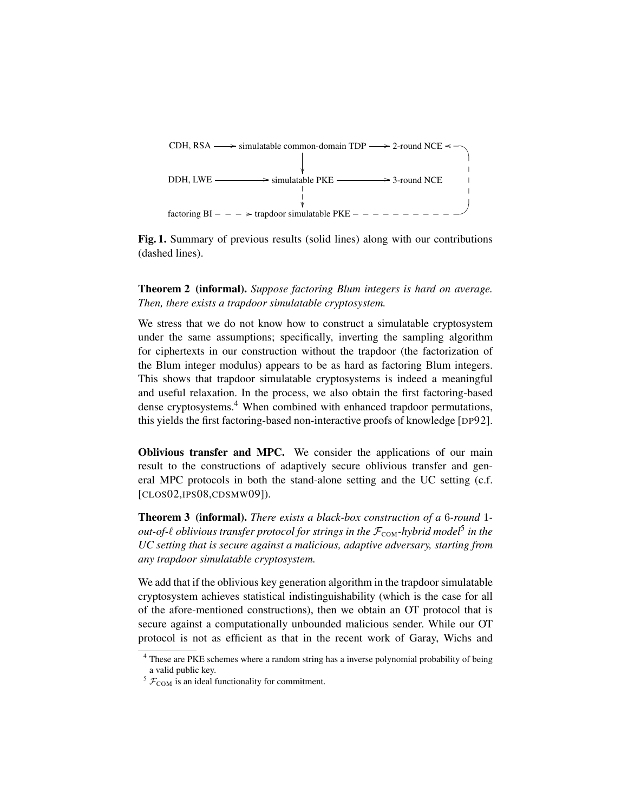

Fig. 1. Summary of previous results (solid lines) along with our contributions (dashed lines).

Theorem 2 (informal). *Suppose factoring Blum integers is hard on average. Then, there exists a trapdoor simulatable cryptosystem.*

We stress that we do not know how to construct a simulatable cryptosystem under the same assumptions; specifically, inverting the sampling algorithm for ciphertexts in our construction without the trapdoor (the factorization of the Blum integer modulus) appears to be as hard as factoring Blum integers. This shows that trapdoor simulatable cryptosystems is indeed a meaningful and useful relaxation. In the process, we also obtain the first factoring-based dense cryptosystems.<sup>4</sup> When combined with enhanced trapdoor permutations, this yields the first factoring-based non-interactive proofs of knowledge [DP92].

Oblivious transfer and MPC. We consider the applications of our main result to the constructions of adaptively secure oblivious transfer and general MPC protocols in both the stand-alone setting and the UC setting (c.f. [CLOS02,IPS08,CDSMW09]).

Theorem 3 (informal). *There exists a black-box construction of a* 6*-round* 1 out-of- $\ell$  oblivious transfer protocol for strings in the  $\mathcal{F}_\text{COM}$ -hybrid model<sup>5</sup> in the *UC setting that is secure against a malicious, adaptive adversary, starting from any trapdoor simulatable cryptosystem.*

We add that if the oblivious key generation algorithm in the trapdoor simulatable cryptosystem achieves statistical indistinguishability (which is the case for all of the afore-mentioned constructions), then we obtain an OT protocol that is secure against a computationally unbounded malicious sender. While our OT protocol is not as efficient as that in the recent work of Garay, Wichs and

<sup>4</sup> These are PKE schemes where a random string has a inverse polynomial probability of being a valid public key.

 $5 \mathcal{F}_{COM}$  is an ideal functionality for commitment.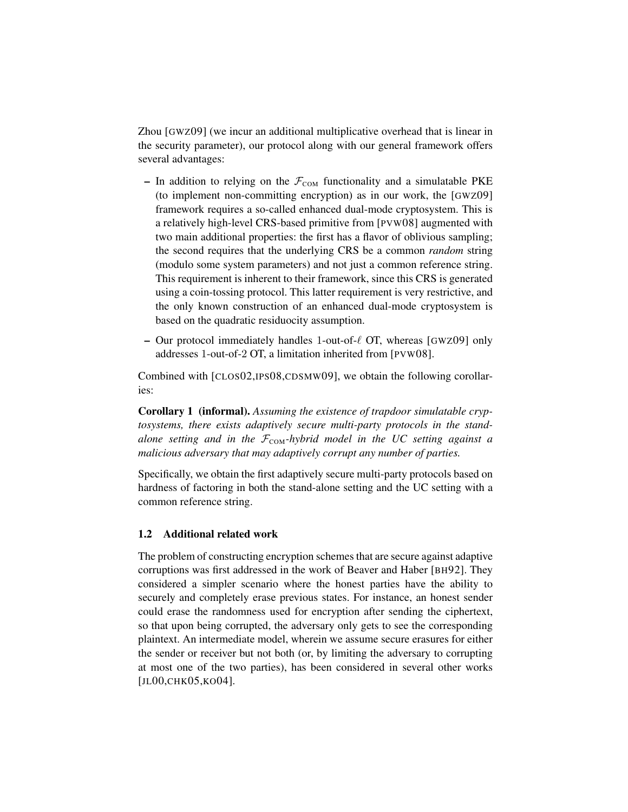Zhou [GWZ09] (we incur an additional multiplicative overhead that is linear in the security parameter), our protocol along with our general framework offers several advantages:

- In addition to relying on the  $\mathcal{F}_{COM}$  functionality and a simulatable PKE (to implement non-committing encryption) as in our work, the [GWZ09] framework requires a so-called enhanced dual-mode cryptosystem. This is a relatively high-level CRS-based primitive from [PVW08] augmented with two main additional properties: the first has a flavor of oblivious sampling; the second requires that the underlying CRS be a common *random* string (modulo some system parameters) and not just a common reference string. This requirement is inherent to their framework, since this CRS is generated using a coin-tossing protocol. This latter requirement is very restrictive, and the only known construction of an enhanced dual-mode cryptosystem is based on the quadratic residuocity assumption.
- Our protocol immediately handles 1-out-of- $\ell$  OT, whereas [GWZ09] only addresses 1-out-of-2 OT, a limitation inherited from [PVW08].

Combined with [CLOS02,IPS08,CDSMW09], we obtain the following corollaries:

Corollary 1 (informal). *Assuming the existence of trapdoor simulatable cryptosystems, there exists adaptively secure multi-party protocols in the standalone setting and in the*  $\mathcal{F}_{COM}$ *-hybrid model in the UC setting against a malicious adversary that may adaptively corrupt any number of parties.*

Specifically, we obtain the first adaptively secure multi-party protocols based on hardness of factoring in both the stand-alone setting and the UC setting with a common reference string.

# 1.2 Additional related work

The problem of constructing encryption schemes that are secure against adaptive corruptions was first addressed in the work of Beaver and Haber [BH92]. They considered a simpler scenario where the honest parties have the ability to securely and completely erase previous states. For instance, an honest sender could erase the randomness used for encryption after sending the ciphertext, so that upon being corrupted, the adversary only gets to see the corresponding plaintext. An intermediate model, wherein we assume secure erasures for either the sender or receiver but not both (or, by limiting the adversary to corrupting at most one of the two parties), has been considered in several other works [JL00,CHK05,KO04].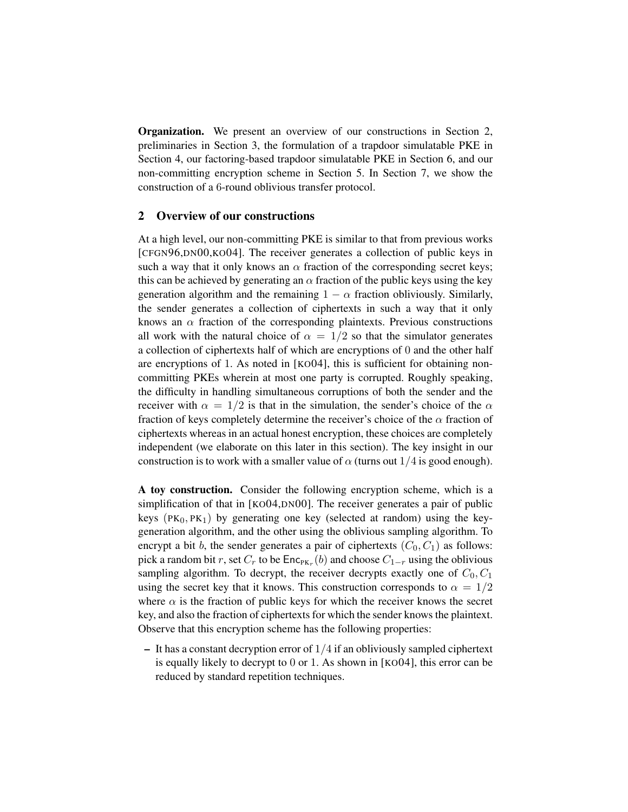Organization. We present an overview of our constructions in Section 2, preliminaries in Section 3, the formulation of a trapdoor simulatable PKE in Section 4, our factoring-based trapdoor simulatable PKE in Section 6, and our non-committing encryption scheme in Section 5. In Section 7, we show the construction of a 6-round oblivious transfer protocol.

#### 2 Overview of our constructions

At a high level, our non-committing PKE is similar to that from previous works [CFGN96,DN00,KO04]. The receiver generates a collection of public keys in such a way that it only knows an  $\alpha$  fraction of the corresponding secret keys; this can be achieved by generating an  $\alpha$  fraction of the public keys using the key generation algorithm and the remaining  $1 - \alpha$  fraction obliviously. Similarly, the sender generates a collection of ciphertexts in such a way that it only knows an  $\alpha$  fraction of the corresponding plaintexts. Previous constructions all work with the natural choice of  $\alpha = 1/2$  so that the simulator generates a collection of ciphertexts half of which are encryptions of 0 and the other half are encryptions of 1. As noted in [KO04], this is sufficient for obtaining noncommitting PKEs wherein at most one party is corrupted. Roughly speaking, the difficulty in handling simultaneous corruptions of both the sender and the receiver with  $\alpha = 1/2$  is that in the simulation, the sender's choice of the  $\alpha$ fraction of keys completely determine the receiver's choice of the  $\alpha$  fraction of ciphertexts whereas in an actual honest encryption, these choices are completely independent (we elaborate on this later in this section). The key insight in our construction is to work with a smaller value of  $\alpha$  (turns out 1/4 is good enough).

A toy construction. Consider the following encryption scheme, which is a simplification of that in [KO04,DN00]. The receiver generates a pair of public keys ( $PK_0, PK_1$ ) by generating one key (selected at random) using the keygeneration algorithm, and the other using the oblivious sampling algorithm. To encrypt a bit b, the sender generates a pair of ciphertexts  $(C_0, C_1)$  as follows: pick a random bit r, set  $C_r$  to be  $\mathsf{Enc}_{\mathsf{PK}_r}(b)$  and choose  $C_{1-r}$  using the oblivious sampling algorithm. To decrypt, the receiver decrypts exactly one of  $C_0, C_1$ using the secret key that it knows. This construction corresponds to  $\alpha = 1/2$ where  $\alpha$  is the fraction of public keys for which the receiver knows the secret key, and also the fraction of ciphertexts for which the sender knows the plaintext. Observe that this encryption scheme has the following properties:

 $-$  It has a constant decryption error of  $1/4$  if an obliviously sampled ciphertext is equally likely to decrypt to 0 or 1. As shown in [KO04], this error can be reduced by standard repetition techniques.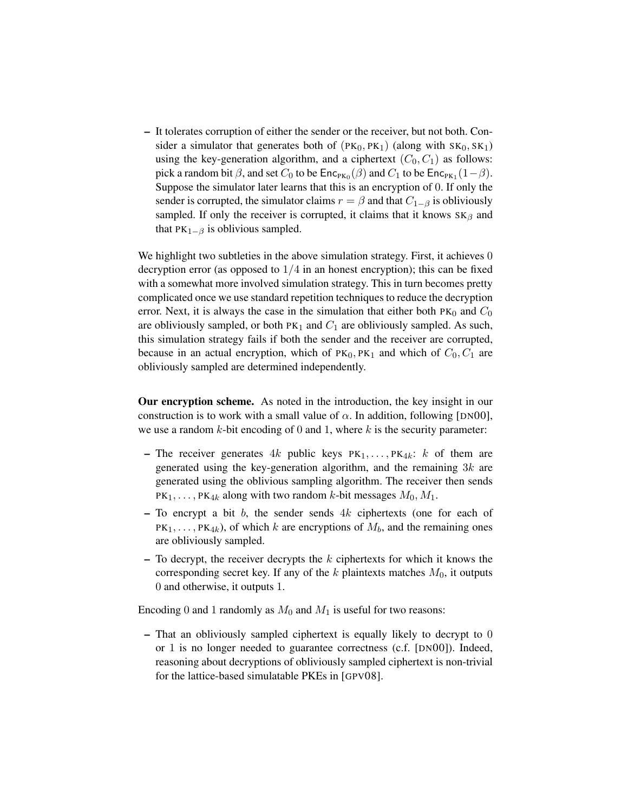– It tolerates corruption of either the sender or the receiver, but not both. Consider a simulator that generates both of  $(PK_0, PK_1)$  (along with  $SK_0, SK_1$ ) using the key-generation algorithm, and a ciphertext  $(C_0, C_1)$  as follows: pick a random bit  $\beta$ , and set  $C_0$  to be  $\mathsf{Enc}_{\mathsf{PK}_0}(\beta)$  and  $C_1$  to be  $\mathsf{Enc}_{\mathsf{PK}_1}(1-\beta)$ . Suppose the simulator later learns that this is an encryption of 0. If only the sender is corrupted, the simulator claims  $r = \beta$  and that  $C_{1-\beta}$  is obliviously sampled. If only the receiver is corrupted, it claims that it knows  $SK_\beta$  and that  $PK_{1-\beta}$  is oblivious sampled.

We highlight two subtleties in the above simulation strategy. First, it achieves 0 decryption error (as opposed to  $1/4$  in an honest encryption); this can be fixed with a somewhat more involved simulation strategy. This in turn becomes pretty complicated once we use standard repetition techniques to reduce the decryption error. Next, it is always the case in the simulation that either both  $PK_0$  and  $C_0$ are obliviously sampled, or both  $PK_1$  and  $C_1$  are obliviously sampled. As such, this simulation strategy fails if both the sender and the receiver are corrupted, because in an actual encryption, which of  $PK_0$ ,  $PK_1$  and which of  $C_0$ ,  $C_1$  are obliviously sampled are determined independently.

Our encryption scheme. As noted in the introduction, the key insight in our construction is to work with a small value of  $\alpha$ . In addition, following [DN00], we use a random  $k$ -bit encoding of 0 and 1, where  $k$  is the security parameter:

- The receiver generates 4k public keys  $PK_1, \ldots, PK_{4k}$ : k of them are generated using the key-generation algorithm, and the remaining  $3k$  are generated using the oblivious sampling algorithm. The receiver then sends  $PK_1, \ldots, PK_{4k}$  along with two random k-bit messages  $M_0, M_1$ .
- $-$  To encrypt a bit b, the sender sends  $4k$  ciphertexts (one for each of  $PK_1, \ldots, PK_{4k}$ , of which k are encryptions of  $M_b$ , and the remaining ones are obliviously sampled.
- $-$  To decrypt, the receiver decrypts the  $k$  ciphertexts for which it knows the corresponding secret key. If any of the  $k$  plaintexts matches  $M_0$ , it outputs 0 and otherwise, it outputs 1.

Encoding 0 and 1 randomly as  $M_0$  and  $M_1$  is useful for two reasons:

– That an obliviously sampled ciphertext is equally likely to decrypt to 0 or 1 is no longer needed to guarantee correctness (c.f. [DN00]). Indeed, reasoning about decryptions of obliviously sampled ciphertext is non-trivial for the lattice-based simulatable PKEs in [GPV08].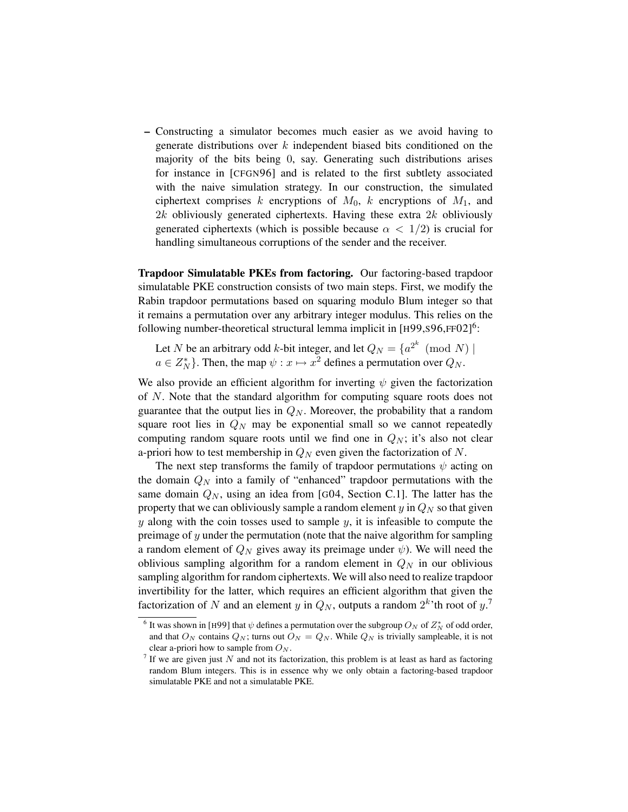– Constructing a simulator becomes much easier as we avoid having to generate distributions over  $k$  independent biased bits conditioned on the majority of the bits being 0, say. Generating such distributions arises for instance in [CFGN96] and is related to the first subtlety associated with the naive simulation strategy. In our construction, the simulated ciphertext comprises k encryptions of  $M_0$ , k encryptions of  $M_1$ , and 2k obliviously generated ciphertexts. Having these extra  $2k$  obliviously generated ciphertexts (which is possible because  $\alpha < 1/2$ ) is crucial for handling simultaneous corruptions of the sender and the receiver.

Trapdoor Simulatable PKEs from factoring. Our factoring-based trapdoor simulatable PKE construction consists of two main steps. First, we modify the Rabin trapdoor permutations based on squaring modulo Blum integer so that it remains a permutation over any arbitrary integer modulus. This relies on the following number-theoretical structural lemma implicit in  $[H99, S96, FF02]$ <sup>6</sup>:

Let N be an arbitrary odd k-bit integer, and let  $Q_N = \{a^{2^k} \pmod{N}\}\$  $a \in Z_N^*$ . Then, the map  $\psi : x \mapsto x^2$  defines a permutation over  $Q_N$ .

We also provide an efficient algorithm for inverting  $\psi$  given the factorization of N. Note that the standard algorithm for computing square roots does not guarantee that the output lies in  $Q_N$ . Moreover, the probability that a random square root lies in  $Q_N$  may be exponential small so we cannot repeatedly computing random square roots until we find one in  $Q_N$ ; it's also not clear a-priori how to test membership in  $Q_N$  even given the factorization of N.

The next step transforms the family of trapdoor permutations  $\psi$  acting on the domain  $Q_N$  into a family of "enhanced" trapdoor permutations with the same domain  $Q_N$ , using an idea from [G04, Section C.1]. The latter has the property that we can obliviously sample a random element  $y$  in  $Q_N$  so that given  $y$  along with the coin tosses used to sample  $y$ , it is infeasible to compute the preimage of y under the permutation (note that the naive algorithm for sampling a random element of  $Q_N$  gives away its preimage under  $\psi$ ). We will need the oblivious sampling algorithm for a random element in  $Q_N$  in our oblivious sampling algorithm for random ciphertexts. We will also need to realize trapdoor invertibility for the latter, which requires an efficient algorithm that given the factorization of N and an element y in  $Q_N$ , outputs a random  $2^k$  th root of  $y$ .<sup>7</sup>

<sup>&</sup>lt;sup>6</sup> It was shown in [H99] that  $\psi$  defines a permutation over the subgroup  $O_N$  of  $Z_N^*$  of odd order, and that  $O_N$  contains  $Q_N$ ; turns out  $O_N = Q_N$ . While  $Q_N$  is trivially sampleable, it is not clear a-priori how to sample from  $O_N$ .

<sup>&</sup>lt;sup>7</sup> If we are given just N and not its factorization, this problem is at least as hard as factoring random Blum integers. This is in essence why we only obtain a factoring-based trapdoor simulatable PKE and not a simulatable PKE.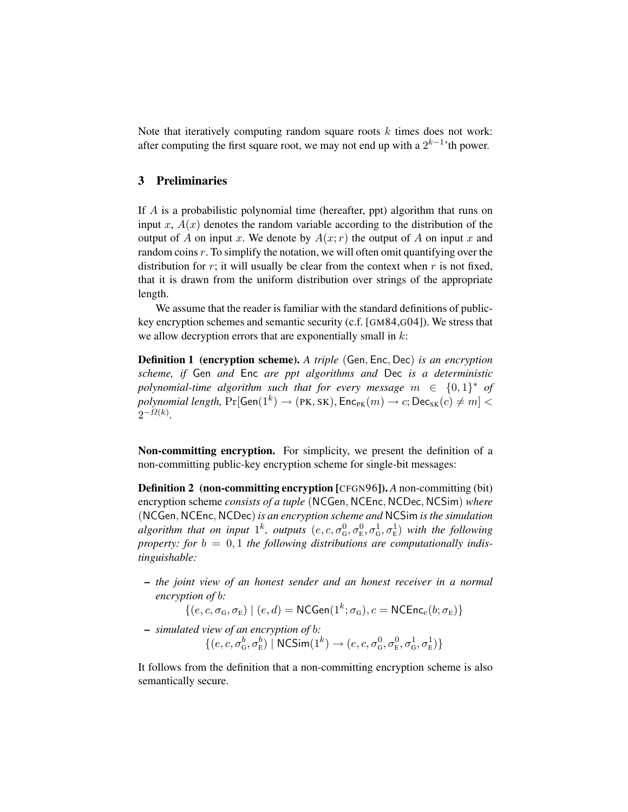Note that iteratively computing random square roots  $k$  times does not work: after computing the first square root, we may not end up with a  $2^{k-1}$  th power.

# 3 Preliminaries

If A is a probabilistic polynomial time (hereafter, ppt) algorithm that runs on input x,  $A(x)$  denotes the random variable according to the distribution of the output of A on input x. We denote by  $A(x; r)$  the output of A on input x and random coins  $r$ . To simplify the notation, we will often omit quantifying over the distribution for  $r$ ; it will usually be clear from the context when  $r$  is not fixed, that it is drawn from the uniform distribution over strings of the appropriate length.

We assume that the reader is familiar with the standard definitions of publickey encryption schemes and semantic security (c.f. [GM84,G04]). We stress that we allow decryption errors that are exponentially small in  $k$ :

Definition 1 (encryption scheme). *A triple* (Gen, Enc, Dec) *is an encryption scheme, if* Gen *and* Enc *are ppt algorithms and* Dec *is a deterministic* polynomial-time algorithm such that for every message  $m \in \{0,1\}^*$  of  $polynomial$   $length$ ,  $\Pr[\mathsf{Gen}(1^k) \rightarrow (\mathsf{PK}, \mathsf{SK}), \mathsf{Enc}_{\mathsf{PK}}(m) \rightarrow c; \mathsf{Dec}_{\mathsf{SK}}(c) \neq m] < 0$  $2^{-\Omega(k)}$ .

Non-committing encryption. For simplicity, we present the definition of a non-committing public-key encryption scheme for single-bit messages:

Definition 2 (non-committing encryption [CFGN96]). *A* non-committing (bit) encryption scheme *consists of a tuple* (NCGen, NCEnc, NCDec, NCSim) *where* (NCGen, NCEnc, NCDec) *is an encryption scheme and* NCSim *is the simulation*  $algorithm$  that on input  $1^k$ , outputs  $(e, c, \sigma_G^0, \sigma_E^0, \sigma_G^1, \sigma_E^1)$  with the following property: for  $b = 0, 1$  the following distributions are computationally indis*tinguishable:*

– *the joint view of an honest sender and an honest receiver in a normal encryption of* b*:*

 $\{(e, c, \sigma_{\text{G}}, \sigma_{\text{E}}) \mid (e, d) = \text{NCGen}(1^k; \sigma_{\text{G}}), c = \text{NCEnc}_e(b; \sigma_{\text{E}})\}$ 

– *simulated view of an encryption of* b*:*  $\{(e, c, \sigma_{\rm G}^b, \sigma_{\rm E}^b) \mid {\sf NCSim}(1^k) \rightarrow (e, c, \sigma_{\rm G}^0, \sigma_{\rm E}^0, \sigma_{\rm G}^1, \sigma_{\rm E}^1)\}$ 

It follows from the definition that a non-committing encryption scheme is also semantically secure.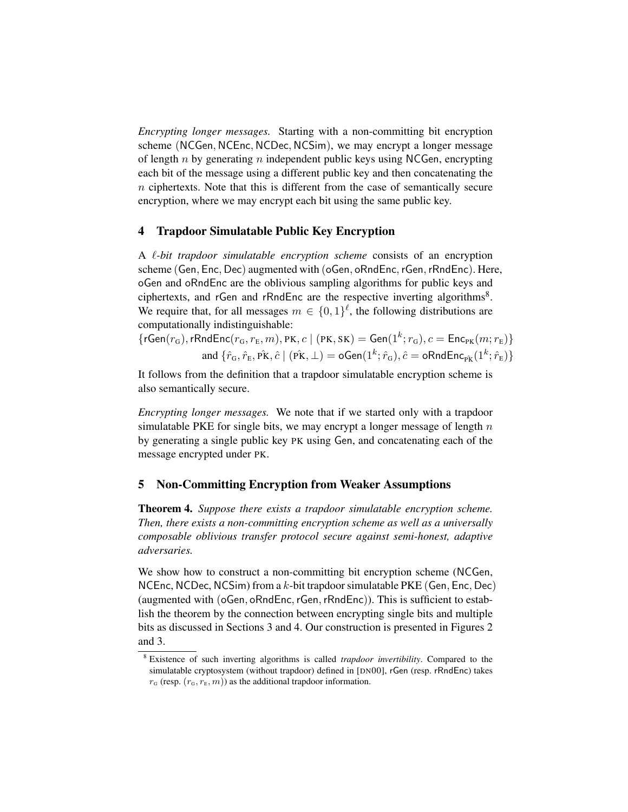*Encrypting longer messages.* Starting with a non-committing bit encryption scheme (NCGen, NCEnc, NCDec, NCSim), we may encrypt a longer message of length n by generating n independent public keys using NCGen, encrypting each bit of the message using a different public key and then concatenating the n ciphertexts. Note that this is different from the case of semantically secure encryption, where we may encrypt each bit using the same public key.

# 4 Trapdoor Simulatable Public Key Encryption

A `*-bit trapdoor simulatable encryption scheme* consists of an encryption scheme (Gen, Enc, Dec) augmented with (oGen, oRndEnc,rGen,rRndEnc). Here, oGen and oRndEnc are the oblivious sampling algorithms for public keys and ciphertexts, and rGen and rRndEnc are the respective inverting algorithms<sup>8</sup>. We require that, for all messages  $m \in \{0,1\}^{\ell}$ , the following distributions are computationally indistinguishable:

 $\{\mathsf{rGen}(r_{\texttt{G}}),\mathsf{rRndEnc}(r_{\texttt{G}}, r_{\texttt{E}}, m), \texttt{PK}, c \mid (\texttt{PK}, \texttt{SK}) = \mathsf{Gen}(1^k; r_{\texttt{G}}), c = \mathsf{Enc}_{\texttt{PK}}(m; r_{\texttt{E}})\}$ and  $\{\hat{r}_\texttt{G}, \hat{r}_\texttt{E}, \hat{\texttt{PK}}, \hat{c} \mid (\hat{\texttt{PK}}, \bot) = \texttt{oGen}(1^k; \hat{r}_\texttt{G}), \hat{c} = \texttt{oRndEnc}_{\hat{\texttt{PK}}}(1^k; \hat{r}_\texttt{E})\}$ 

It follows from the definition that a trapdoor simulatable encryption scheme is also semantically secure.

*Encrypting longer messages.* We note that if we started only with a trapdoor simulatable PKE for single bits, we may encrypt a longer message of length  $n$ by generating a single public key PK using Gen, and concatenating each of the message encrypted under PK.

# 5 Non-Committing Encryption from Weaker Assumptions

Theorem 4. *Suppose there exists a trapdoor simulatable encryption scheme. Then, there exists a non-committing encryption scheme as well as a universally composable oblivious transfer protocol secure against semi-honest, adaptive adversaries.*

We show how to construct a non-committing bit encryption scheme (NCGen, NCEnc, NCDec, NCSim) from a  $k$ -bit trapdoor simulatable PKE (Gen, Enc, Dec) (augmented with (oGen, oRndEnc, rGen, rRndEnc)). This is sufficient to establish the theorem by the connection between encrypting single bits and multiple bits as discussed in Sections 3 and 4. Our construction is presented in Figures 2 and 3.

<sup>8</sup> Existence of such inverting algorithms is called *trapdoor invertibility*. Compared to the simulatable cryptosystem (without trapdoor) defined in [DN00], rGen (resp. rRndEnc) takes  $r_{\rm G}$  (resp.  $(r_{\rm G}, r_{\rm E}, m)$ ) as the additional trapdoor information.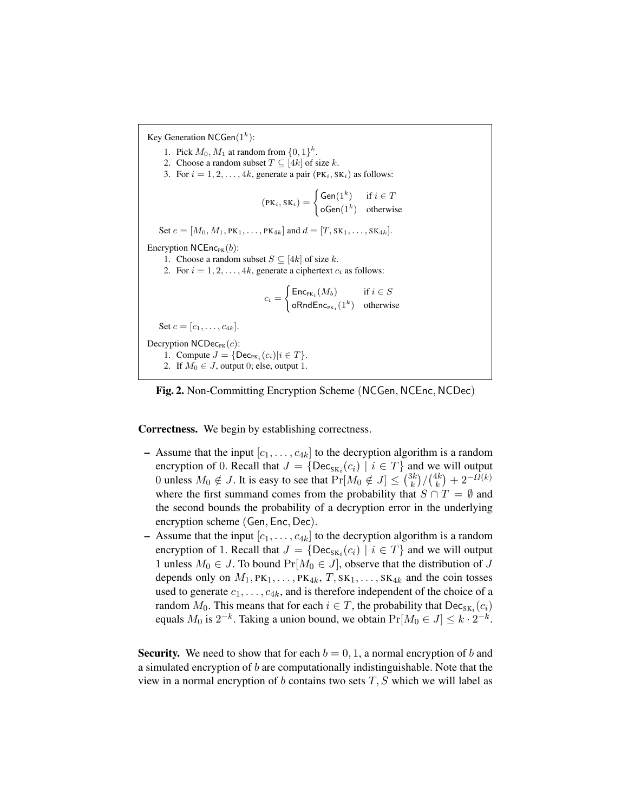Key Generation NCGen $(1^k)$ : 1. Pick  $M_0, M_1$  at random from  $\{0, 1\}^k$ . 2. Choose a random subset  $T \subseteq [4k]$  of size k. 3. For  $i = 1, 2, \ldots, 4k$ , generate a pair  $(\text{PK}_i, \text{SK}_i)$  as follows:  $(\text{PK}_i, \text{SK}_i) = \begin{cases} \text{Gen}(1^k) & \text{if } i \in T \\ \text{Gen}(1^k) & \text{if } i \in T \end{cases}$  $\mathsf{oGen}(1^k)$  otherwise Set  $e = [M_0, M_1, PK_1, \ldots, PK_{4k}]$  and  $d = [T, SK_1, \ldots, SK_{4k}].$ Encryption  $NCEnc_{PK}(b)$ : 1. Choose a random subset  $S \subseteq [4k]$  of size k. 2. For  $i = 1, 2, \ldots, 4k$ , generate a ciphertext  $c_i$  as follows:  $c_i =$  $\int$  Enc<sub>PK<sub>i</sub></sub> $(M_b)$  if  $i \in S$  $\mathsf{oRndEnc}_{\mathsf{PK}_i}(1^k)$  otherwise Set  $c = [c_1, \ldots, c_{4k}]$ . Decryption  $NCDec_{PK}(c)$ : 1. Compute  $J = \{\text{Dec}_{PK_i}(c_i)|i \in T\}.$ 2. If  $M_0 \in J$ , output 0; else, output 1.



Correctness. We begin by establishing correctness.

- Assume that the input  $[c_1, \ldots, c_{4k}]$  to the decryption algorithm is a random encryption of 0. Recall that  $J = \{Dec_{SK_i}(c_i) \mid i \in T\}$  and we will output 0 unless  $M_0 \notin J$ . It is easy to see that  $Pr[M_0 \notin J] \leq {3k \choose k}$  $\binom{3k}{k}/\binom{4k}{k}$  $\binom{4k}{k} + 2^{-\Omega(k)}$ where the first summand comes from the probability that  $S \cap T = \emptyset$  and the second bounds the probability of a decryption error in the underlying encryption scheme (Gen, Enc, Dec).
- Assume that the input  $[c_1, \ldots, c_{4k}]$  to the decryption algorithm is a random encryption of 1. Recall that  $J = \{Dec_{SK_i}(c_i) \mid i \in T\}$  and we will output 1 unless  $M_0 \in J$ . To bound  $Pr[M_0 \in J]$ , observe that the distribution of J depends only on  $M_1, PK_1, \ldots, PK_{4k}, T, SK_1, \ldots, SK_{4k}$  and the coin tosses used to generate  $c_1, \ldots, c_{4k}$ , and is therefore independent of the choice of a random  $M_0$ . This means that for each  $i \in T$ , the probability that  $\mathsf{Dec}_{\mathsf{SK}_i}(c_i)$ equals  $M_0$  is  $2^{-k}$ . Taking a union bound, we obtain  $Pr[M_0 \in J] \leq k \cdot 2^{-k}$ .

**Security.** We need to show that for each  $b = 0, 1$ , a normal encryption of b and a simulated encryption of  $b$  are computationally indistinguishable. Note that the view in a normal encryption of  $b$  contains two sets  $T, S$  which we will label as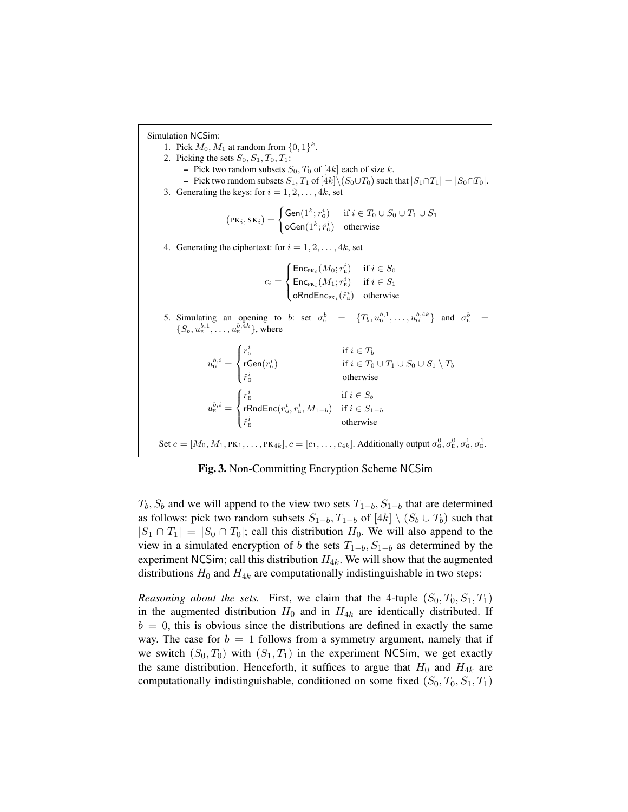Simulation NCSim: 1. Pick  $M_0, M_1$  at random from  $\{0, 1\}^k$ . 2. Picking the sets  $S_0$ ,  $S_1$ ,  $T_0$ ,  $T_1$ : – Pick two random subsets  $S_0$ ,  $T_0$  of [4k] each of size k. – Pick two random subsets  $S_1, T_1$  of  $[4k] \setminus (S_0 \cup T_0)$  such that  $|S_1 \cap T_1| = |S_0 \cap T_0|$ . 3. Generating the keys: for  $i = 1, 2, \ldots, 4k$ , set  $(\text{PK}_i, \text{SK}_i) = \begin{cases} \text{Gen}(1^k; r_0^i) & \text{if } i \in T_0 \cup S_0 \cup T_1 \cup S_1 \ \text{Gen}(1^k; r_0^i) & \text{if } i \in T_1 \cup S_1 \end{cases}$  $\mathsf{oGen}(1^k; \hat{r}^i_\mathrm{G})$  otherwise 4. Generating the ciphertext: for  $i = 1, 2, \ldots, 4k$ , set  $c_i =$  $\sqrt{ }$  $\int$  $\mathcal{L}$  $\mathsf{Enc}_{\mathrm{PK}_i}(M_0; r_{\rm E}^i)$  if  $i \in S_0$  $\mathsf{Enc}_{\mathrm{PK}_i}(M_1; r_{\rm E}^i)$  if  $i \in S_1$  $\mathsf{oRndEnc}_{\mathsf{PK}_i}(\hat{r}_\mathsf{E}^i)$  otherwise 5. Simulating an opening to b: set  $\sigma_6^b = \{T_b, u_6^{b,1}, \ldots, u_6^{b,4k}\}\$  and  $\sigma_E^b =$  $\{S_b, u_{\rm E}^{b,1}, \ldots, u_{\rm E}^{b,4k}\},$  where E  $u_{\mathrm{G}}^{b,i} =$  $\sqrt{ }$  $\int$  $\mathcal{L}$  $r_{\scriptscriptstyle \rm G}^i$  if  $i \in T_b$  $\mathsf{rGen}(r_\mathrm{G}^i) \qquad \qquad \qquad \mathrm{if} \ i \in T_0 \cup T_1 \cup S_0 \cup S_1 \setminus T_b$  $\hat{r}_{\rm G}^i$  otherwise  $u_{\scriptscriptstyle\mathrm{E}}^{b,i} =$  $\sqrt{ }$  $\int$  $\mathcal{L}$  $r_{\rm E}^i$  if  $i \in S_b$  ${\sf rRndEnc}(r^i_{\sf G}, r^i_{\sf E}, M_{1-b})$  if  $i \in S_{1-b}$  $\hat{r}_{\rm E}^i$  otherwise Set  $e = [M_0, M_1, PK_1, \ldots, PK_{4k}], c = [c_1, \ldots, c_{4k}]$ . Additionally output  $\sigma_0^0, \sigma_E^0, \sigma_{\rm E}^1, \sigma_{\rm E}^1$ .

Fig. 3. Non-Committing Encryption Scheme NCSim

 $T_b$ ,  $S_b$  and we will append to the view two sets  $T_{1-b}$ ,  $S_{1-b}$  that are determined as follows: pick two random subsets  $S_{1-b}$ ,  $T_{1-b}$  of  $[4k] \setminus (S_b \cup T_b)$  such that  $|S_1 \cap T_1| = |S_0 \cap T_0|$ ; call this distribution  $H_0$ . We will also append to the view in a simulated encryption of b the sets  $T_{1-b}$ ,  $S_{1-b}$  as determined by the experiment NCSim; call this distribution  $H_{4k}$ . We will show that the augmented distributions  $H_0$  and  $H_{4k}$  are computationally indistinguishable in two steps:

*Reasoning about the sets.* First, we claim that the 4-tuple  $(S_0, T_0, S_1, T_1)$ in the augmented distribution  $H_0$  and in  $H_{4k}$  are identically distributed. If  $b = 0$ , this is obvious since the distributions are defined in exactly the same way. The case for  $b = 1$  follows from a symmetry argument, namely that if we switch  $(S_0, T_0)$  with  $(S_1, T_1)$  in the experiment NCSim, we get exactly the same distribution. Henceforth, it suffices to argue that  $H_0$  and  $H_{4k}$  are computationally indistinguishable, conditioned on some fixed  $(S_0, T_0, S_1, T_1)$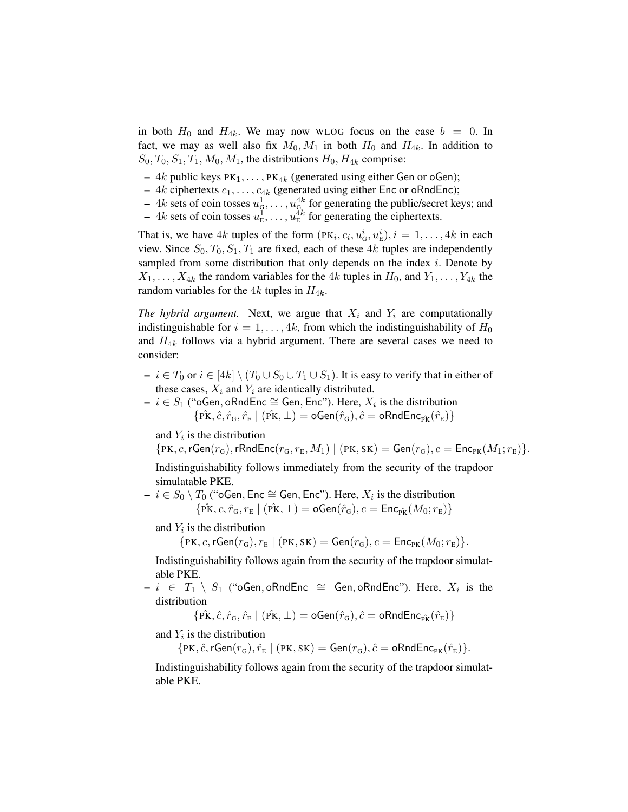in both  $H_0$  and  $H_{4k}$ . We may now WLOG focus on the case  $b = 0$ . In fact, we may as well also fix  $M_0, M_1$  in both  $H_0$  and  $H_{4k}$ . In addition to  $S_0, T_0, S_1, T_1, M_0, M_1$ , the distributions  $H_0, H_{4k}$  comprise:

- 4k public keys  $PK_1, \ldots, PK_{4k}$  (generated using either Gen or oGen);
- $4k$  ciphertexts  $c_1, \ldots, c_{4k}$  (generated using either Enc or oRndEnc);
- $-4k$  sets of coin tosses  $u_{\mathcal{G}}^1, \ldots, u_{\mathcal{G}}^{4k}$  for generating the public/secret keys; and
- $-4k$  sets of coin tosses  $u_{\rm E}^{\bar{1}}, \ldots, u_{\rm E}^{\bar{4}k}$  for generating the ciphertexts.

That is, we have 4k tuples of the form  $(PK_i, c_i, u^i_G, u^i_E), i = 1, ..., 4k$  in each view. Since  $S_0$ ,  $T_0$ ,  $S_1$ ,  $T_1$  are fixed, each of these 4k tuples are independently sampled from some distribution that only depends on the index  $i$ . Denote by  $X_1, \ldots, X_{4k}$  the random variables for the 4k tuples in  $H_0$ , and  $Y_1, \ldots, Y_{4k}$  the random variables for the  $4k$  tuples in  $H_{4k}$ .

*The hybrid argument.* Next, we argue that  $X_i$  and  $Y_i$  are computationally indistinguishable for  $i = 1, \ldots, 4k$ , from which the indistinguishability of  $H_0$ and  $H_{4k}$  follows via a hybrid argument. There are several cases we need to consider:

- $i \in T_0$  or  $i \in [4k] \setminus (T_0 \cup S_0 \cup T_1 \cup S_1)$ . It is easy to verify that in either of these cases,  $X_i$  and  $Y_i$  are identically distributed.
- $i \in S_1$  ("oGen, oRndEnc ≅ Gen, Enc"). Here,  $X_i$  is the distribution  $\{\hat{\text{PK}}, \hat{c}, \hat{r}_{\text{G}}, \hat{r}_{\text{E}} \mid (\hat{\text{PK}}, \perp) = \text{oGen}(\hat{r}_{\text{G}}), \hat{c} = \text{oRndEnc}_{\hat{\text{PK}}}(\hat{r}_{\text{E}})\}$

and  $Y_i$  is the distribution

 $\{PK, c, rGen(r_G), rRndEnc(r_G, r_E, M_1) \mid (PK, SK) = Gen(r_G), c = Enc_{PK}(M_1; r_E)\}.$ 

Indistinguishability follows immediately from the security of the trapdoor simulatable PKE.

 $- i \in S_0 \setminus T_0$  ("oGen, Enc ≅ Gen, Enc"). Here,  $X_i$  is the distribution  $\{\hat{P}K, c, \hat{r}_{G}, r_{E} \mid (\hat{P}K, \perp) = oGen(\hat{r}_{G}), c = Enc_{\hat{P}K}(M_{0}; r_{E})\}$ 

and  $Y_i$  is the distribution

$$
\{PK, c, rGen(r_G), r_E \mid (PK, SK) = Gen(r_G), c = Enc_{PK}(M_0; r_E)\}.
$$

Indistinguishability follows again from the security of the trapdoor simulatable PKE.

 $- i \in T_1 \setminus S_1$  ("oGen, oRndEnc  $\cong$  Gen, oRndEnc"). Here,  $X_i$  is the distribution

 $\{\hat{\text{PK}}, \hat{c}, \hat{r}_{\text{G}}, \hat{r}_{\text{E}} \mid (\hat{\text{PK}}, \perp) = \text{oGen}(\hat{r}_{\text{G}}), \hat{c} = \text{oRndEnc}_{\hat{\text{PK}}}(\hat{r}_{\text{E}})\}\$ 

and  $Y_i$  is the distribution

 $\{PK, \hat{c}, rGen(r_G), \hat{r}_E \mid (PK, SK) = Gen(r_G), \hat{c} = \text{oRndEnc}_{PK}(\hat{r}_E)\}.$ 

Indistinguishability follows again from the security of the trapdoor simulatable PKE.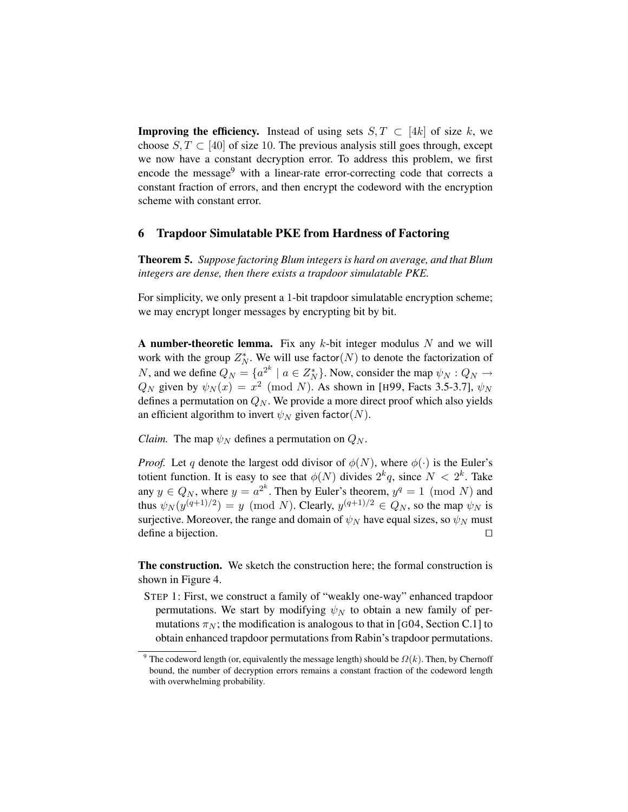**Improving the efficiency.** Instead of using sets  $S, T \subset [4k]$  of size k, we choose  $S, T \subset [40]$  of size 10. The previous analysis still goes through, except we now have a constant decryption error. To address this problem, we first encode the message<sup>9</sup> with a linear-rate error-correcting code that corrects a constant fraction of errors, and then encrypt the codeword with the encryption scheme with constant error.

### 6 Trapdoor Simulatable PKE from Hardness of Factoring

Theorem 5. *Suppose factoring Blum integers is hard on average, and that Blum integers are dense, then there exists a trapdoor simulatable PKE.*

For simplicity, we only present a 1-bit trapdoor simulatable encryption scheme; we may encrypt longer messages by encrypting bit by bit.

A number-theoretic lemma. Fix any  $k$ -bit integer modulus  $N$  and we will work with the group  $Z_N^*$ . We will use factor(N) to denote the factorization of N, and we define  $Q_N = \{a^{2^k} \mid a \in Z_N^*\}$ . Now, consider the map  $\psi_N : Q_N \to$  $Q_N$  given by  $\psi_N(x) = x^2 \pmod{N}$ . As shown in [H99, Facts 3.5-3.7],  $\psi_N$ defines a permutation on  $Q_N$ . We provide a more direct proof which also yields an efficient algorithm to invert  $\psi_N$  given factor(N).

*Claim.* The map  $\psi_N$  defines a permutation on  $Q_N$ .

*Proof.* Let q denote the largest odd divisor of  $\phi(N)$ , where  $\phi(\cdot)$  is the Euler's totient function. It is easy to see that  $\phi(N)$  divides  $2^k q$ , since  $N < 2^k$ . Take any  $y \in Q_N$ , where  $y = a^{2^k}$ . Then by Euler's theorem,  $y^q = 1 \pmod{N}$  and thus  $\psi_N(y^{(q+1)/2}) = y \pmod{N}$ . Clearly,  $y^{(q+1)/2} \in Q_N$ , so the map  $\psi_N$  is surjective. Moreover, the range and domain of  $\psi_N$  have equal sizes, so  $\psi_N$  must define a bijection.  $\Box$ 

The construction. We sketch the construction here; the formal construction is shown in Figure 4.

STEP 1: First, we construct a family of "weakly one-way" enhanced trapdoor permutations. We start by modifying  $\psi_N$  to obtain a new family of permutations  $\pi_N$ ; the modification is analogous to that in [G04, Section C.1] to obtain enhanced trapdoor permutations from Rabin's trapdoor permutations.

<sup>&</sup>lt;sup>9</sup> The codeword length (or, equivalently the message length) should be  $\Omega(k)$ . Then, by Chernoff bound, the number of decryption errors remains a constant fraction of the codeword length with overwhelming probability.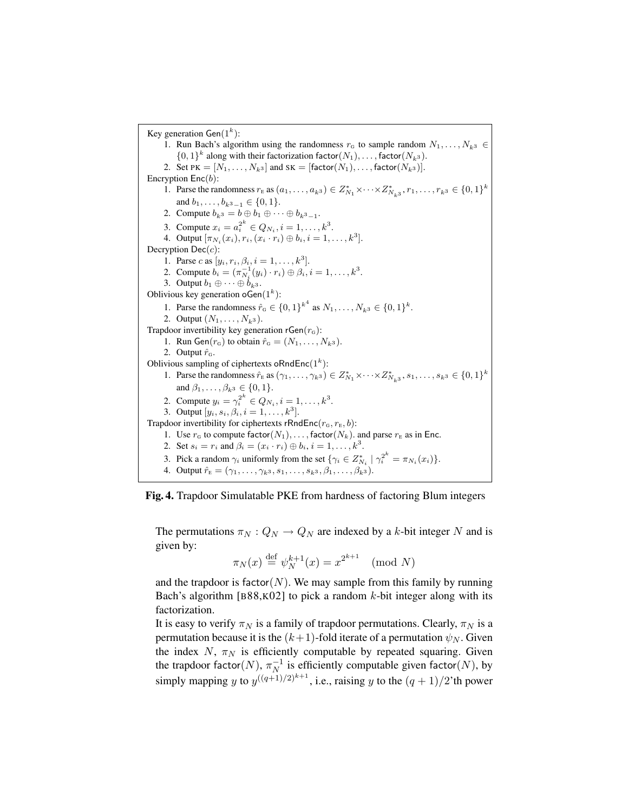Key generation Gen $(1^k)$ : 1. Run Bach's algorithm using the randomness  $r_G$  to sample random  $N_1, \ldots, N_{k^3} \in$  $\{0,1\}^k$  along with their factorization factor( $N_1$ ), ..., factor( $N_{k^3}$ ). 2. Set PK =  $[N_1, ..., N_k]$  and SK =  $[factor(N_1), ..., factor(N_k)]$ . Encryption  $Enc(b)$ : 1. Parse the randomness  $r_E$  as  $(a_1, ..., a_{k^3}) \in Z_{N_1}^* \times \cdots \times Z_{N_{k^3}}^*$ ,  $r_1, ..., r_{k^3} \in \{0, 1\}^k$ and  $b_1, \ldots, b_{k^3-1} \in \{0, 1\}.$ 2. Compute  $b_{k^3} = b \oplus b_1 \oplus \cdots \oplus b_{k^3-1}$ . 3. Compute  $x_i = a_i^{2^k} \in Q_{N_i}, i = 1, ..., k^3$ . 4. Output  $[\pi_{N_i}(x_i), r_i, (x_i \cdot r_i) \oplus b_i, i = 1, ..., k^3]$ . Decryption  $Dec(c)$ : 1. Parse c as  $[y_i, r_i, \beta_i, i = 1, ..., k^3]$ . 2. Compute  $b_i = (\pi_{N_i}^{-1}(y_i) \cdot r_i) \oplus \beta_i, i = 1, ..., k^3$ . 3. Output  $b_1 \oplus \cdots \oplus b_{k^3}$ . Oblivious key generation  $\sigma$ Gen $(1^k)$ : 1. Parse the randomness  $\hat{r}_G \in \{0,1\}^{k^4}$  as  $N_1, \ldots, N_{k^3} \in \{0,1\}^k$ . 2. Output  $(N_1, \ldots, N_{k^3})$ . Trapdoor invertibility key generation  $rGen(r_G)$ : 1. Run Gen $(r_G)$  to obtain  $\hat{r}_G = (N_1, \ldots, N_{k^3})$ . 2. Output  $\hat{r}_G$ . Oblivious sampling of ciphertexts oRndEnc $(1<sup>k</sup>)$ : 1. Parse the randomness  $\hat{r}_E$  as  $(\gamma_1, ..., \gamma_{k^3}) \in Z_{N_1}^* \times \cdots \times Z_{N_{k^3}}^*$ ,  $s_1, ..., s_{k^3} \in \{0, 1\}^k$ and  $\beta_1, ..., \beta_{k^3} \in \{0, 1\}.$ 2. Compute  $y_i = \gamma_i^{2^k} \in Q_{N_i}, i = 1, ..., k^3$ . 3. Output  $[y_i, s_i, \beta_i, i = 1, ..., k^3]$ . Trapdoor invertibility for ciphertexts rRndEnc( $r_{\text{G}}$ ,  $r_{\text{E}}$ , b): 1. Use  $r_{\rm G}$  to compute factor $(N_1), \ldots$ , factor $(N_k)$ . and parse  $r_{\rm E}$  as in Enc. 2. Set  $s_i = r_i$  and  $\beta_i = (x_i \cdot r_i) \oplus b_i, i = 1, ..., k^3$ . 3. Pick a random  $\gamma_i$  uniformly from the set  $\{\gamma_i \in Z_{N_i}^* \mid \gamma_i^{2^k} = \pi_{N_i}(x_i)\}.$ 4. Output  $\hat{r}_E = (\gamma_1, \ldots, \gamma_{k^3}, s_1, \ldots, s_{k^3}, \beta_1, \ldots, \beta_{k^3}).$ 

Fig. 4. Trapdoor Simulatable PKE from hardness of factoring Blum integers

The permutations  $\pi_N$  :  $Q_N \to Q_N$  are indexed by a k-bit integer N and is given by:

$$
\pi_N(x) \stackrel{\text{def}}{=} \psi_N^{k+1}(x) = x^{2^{k+1}} \pmod{N}
$$

and the trapdoor is factor( $N$ ). We may sample from this family by running Bach's algorithm [B88,K02] to pick a random  $k$ -bit integer along with its factorization.

It is easy to verify  $\pi_N$  is a family of trapdoor permutations. Clearly,  $\pi_N$  is a permutation because it is the  $(k+1)$ -fold iterate of a permutation  $\psi_N$ . Given the index N,  $\pi_N$  is efficiently computable by repeated squaring. Given the trapdoor factor $(N),\,\pi^{-1}_N$  $_N^{-1}$  is efficiently computable given factor(N), by simply mapping y to  $y^{((q+1)/2)^{k+1}}$ , i.e., raising y to the  $(q+1)/2$ 'th power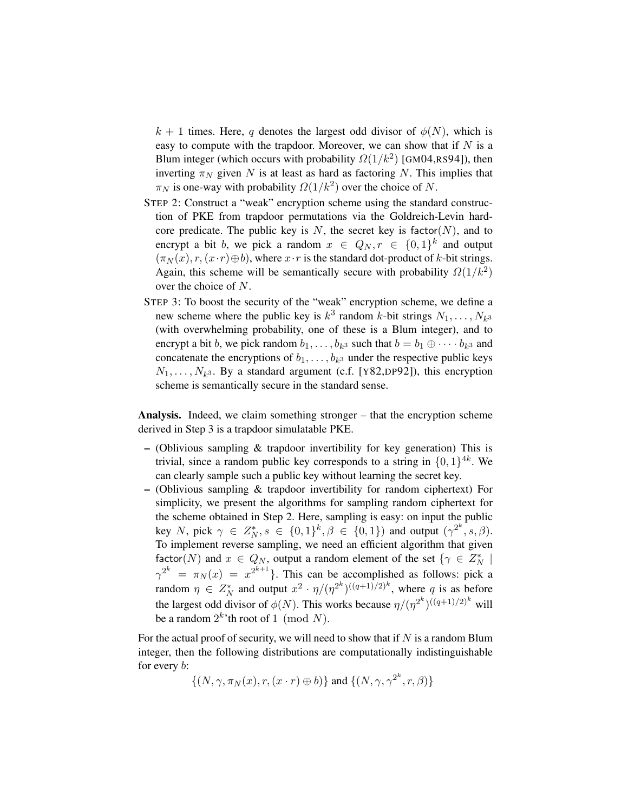$k + 1$  times. Here, q denotes the largest odd divisor of  $\phi(N)$ , which is easy to compute with the trapdoor. Moreover, we can show that if  $N$  is a Blum integer (which occurs with probability  $\Omega(1/k^2)$  [GM04,RS94]), then inverting  $\pi_N$  given N is at least as hard as factoring N. This implies that  $\pi_N$  is one-way with probability  $\Omega(1/k^2)$  over the choice of N.

- STEP 2: Construct a "weak" encryption scheme using the standard construction of PKE from trapdoor permutations via the Goldreich-Levin hardcore predicate. The public key is N, the secret key is factor(N), and to encrypt a bit b, we pick a random  $x \in Q_N, r \in \{0,1\}^k$  and output  $(\pi_N(x), r, (x \cdot r) \oplus b)$ , where  $x \cdot r$  is the standard dot-product of k-bit strings. Again, this scheme will be semantically secure with probability  $\Omega(1/k^2)$ over the choice of N.
- STEP 3: To boost the security of the "weak" encryption scheme, we define a new scheme where the public key is  $k^3$  random k-bit strings  $N_1, \ldots, N_k$ <sub>3</sub> (with overwhelming probability, one of these is a Blum integer), and to encrypt a bit b, we pick random  $b_1, \ldots, b_{k^3}$  such that  $b = b_1 \oplus \cdots b_{k^3}$  and concatenate the encryptions of  $b_1, \ldots, b_{k^3}$  under the respective public keys  $N_1, \ldots, N_{k^3}$ . By a standard argument (c.f. [Y82,DP92]), this encryption scheme is semantically secure in the standard sense.

Analysis. Indeed, we claim something stronger – that the encryption scheme derived in Step 3 is a trapdoor simulatable PKE.

- $-$  (Oblivious sampling  $\&$  trapdoor invertibility for key generation) This is trivial, since a random public key corresponds to a string in  $\{0,1\}^{4k}$ . We can clearly sample such a public key without learning the secret key.
- (Oblivious sampling & trapdoor invertibility for random ciphertext) For simplicity, we present the algorithms for sampling random ciphertext for the scheme obtained in Step 2. Here, sampling is easy: on input the public key N, pick  $\gamma \in Z_N^*$ ,  $s \in \{0,1\}^k$ ,  $\beta \in \{0,1\}$  and output  $(\gamma^{2^k}, s, \beta)$ . To implement reverse sampling, we need an efficient algorithm that given factor(N) and  $x \in Q_N$ , output a random element of the set  $\{\gamma \in Z_N^* \mid$  $\gamma^{2^k} = \pi_N(x) = x^{2^{k+1}}$ . This can be accomplished as follows: pick a random  $\eta \in Z_N^*$  and output  $x^2 \cdot \eta/(\eta^{2^k})^{((q+1)/2)^k}$ , where q is as before the largest odd divisor of  $\phi(N)$ . This works because  $\eta/(\eta^{2^k})^{((q+1)/2)^k}$  will be a random  $2^k$ 'th root of 1 (mod N).

For the actual proof of security, we will need to show that if  $N$  is a random Blum integer, then the following distributions are computationally indistinguishable for every b:

 $\{(N, \gamma, \pi_N(x), r, (x \cdot r) \oplus b)\}\$ and  $\{(N, \gamma, \gamma^{2^k}, r, \beta)\}\$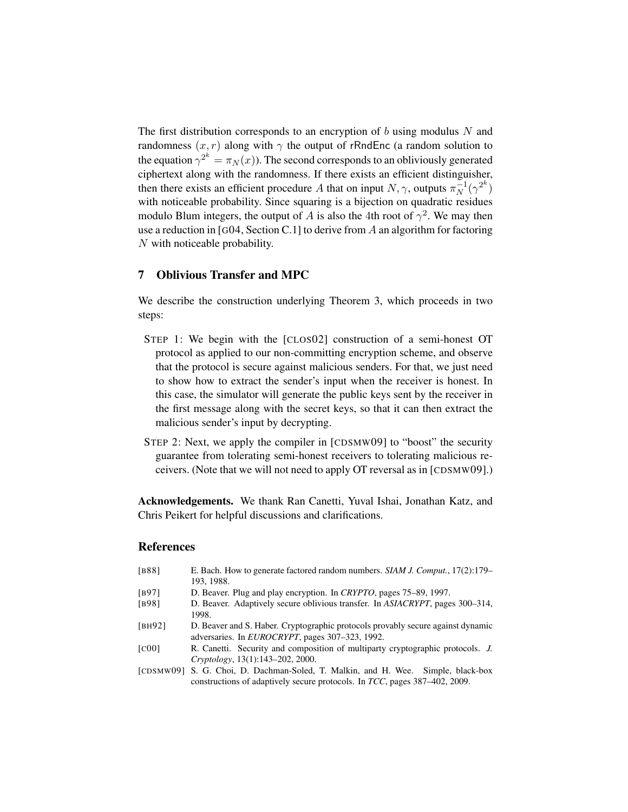The first distribution corresponds to an encryption of b using modulus  $N$  and randomness  $(x, r)$  along with  $\gamma$  the output of rRndEnc (a random solution to the equation  $\gamma^{2^k} = \pi_N(x)$ ). The second corresponds to an obliviously generated ciphertext along with the randomness. If there exists an efficient distinguisher, then there exists an efficient procedure A that on input  $N, \gamma$ , outputs  $\pi_N^{-1}$  $\frac{-1}{N}(\gamma^{2^k})$ with noticeable probability. Since squaring is a bijection on quadratic residues modulo Blum integers, the output of A is also the 4th root of  $\gamma^2$ . We may then use a reduction in [G04, Section C.1] to derive from A an algorithm for factoring N with noticeable probability.

# 7 Oblivious Transfer and MPC

We describe the construction underlying Theorem 3, which proceeds in two steps:

- STEP 1: We begin with the [CLOS02] construction of a semi-honest OT protocol as applied to our non-committing encryption scheme, and observe that the protocol is secure against malicious senders. For that, we just need to show how to extract the sender's input when the receiver is honest. In this case, the simulator will generate the public keys sent by the receiver in the first message along with the secret keys, so that it can then extract the malicious sender's input by decrypting.
- STEP 2: Next, we apply the compiler in [CDSMW09] to "boost" the security guarantee from tolerating semi-honest receivers to tolerating malicious receivers. (Note that we will not need to apply OT reversal as in [CDSMW09].)

Acknowledgements. We thank Ran Canetti, Yuval Ishai, Jonathan Katz, and Chris Peikert for helpful discussions and clarifications.

### References

| E. Bach. How to generate factored random numbers. <i>SIAM J. Comput.</i> , 17(2):179– |
|---------------------------------------------------------------------------------------|
| 193, 1988.                                                                            |
| D. Beaver. Plug and play encryption. In CRYPTO, pages 75–89, 1997.                    |
| D. Beaver. Adaptively secure oblivious transfer. In ASIACRYPT, pages 300–314,         |
| 1998.                                                                                 |
| D. Beaver and S. Haber. Cryptographic protocols provably secure against dynamic       |
| adversaries. In <i>EUROCRYPT</i> , pages 307–323, 1992.                               |
| R. Canetti. Security and composition of multiparty cryptographic protocols. J.        |
| Cryptology, 13(1):143-202, 2000.                                                      |
| S. G. Choi, D. Dachman-Soled, T. Malkin, and H. Wee. Simple, black-box<br>[CDSMW09]   |
| constructions of adaptively secure protocols. In TCC, pages 387-402, 2009.            |
|                                                                                       |